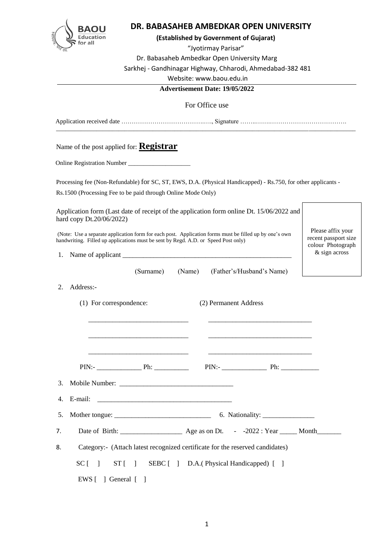

# **DR. BABASAHEB AMBEDKAR OPEN UNIVERSITY**

#### **(Established by Government of Gujarat)**

"Jyotirmay Parisar"

Dr. Babasaheb Ambedkar Open University Marg

Sarkhej - Gandhinagar Highway, Chharodi, Ahmedabad-382 481

Website: www.baou.edu.in

#### **Advertisement Date: 19/05/2022**

For Office use

Application received date ………………………………….…., Signature ……..…….………………………………. \_\_\_\_\_\_\_\_\_\_\_\_\_\_\_\_\_\_\_\_\_\_\_\_\_\_\_\_\_\_\_\_\_\_\_\_\_\_\_\_\_\_\_\_\_\_\_\_\_\_\_\_\_\_\_\_\_\_\_\_\_\_\_\_\_\_\_\_\_\_\_\_\_\_\_\_\_\_\_\_\_\_\_\_\_\_\_\_\_\_\_\_\_\_\_\_

Name of the post applied for: **Registrar**

Online Registration Number \_\_\_\_\_\_\_\_\_\_\_\_\_\_\_\_\_\_\_\_

Processing fee (Non-Refundable) for SC, ST, EWS, D.A. (Physical Handicapped) - Rs.750, for other applicants -

Rs.1500 (Processing Fee to be paid through Online Mode Only)

Application form (Last date of receipt of the application form online Dt. 15/06/2022 and hard copy Dt.20/06/2022)

(Note: Use a separate application form for each post. Application forms must be filled up by one's own handwriting. Filled up applications must be sent by Regd. A.D. or Speed Post only)

1. Name of applicant

(Surname) (Name) (Father's/Husband's Name)

Please affix your recent passport size colour Photograph & sign across

- (1) For correspondence: (2) Permanent Address
- 
- $\overline{\phantom{a}}$  ,  $\overline{\phantom{a}}$  ,  $\overline{\phantom{a}}$  ,  $\overline{\phantom{a}}$  ,  $\overline{\phantom{a}}$  ,  $\overline{\phantom{a}}$  ,  $\overline{\phantom{a}}$  ,  $\overline{\phantom{a}}$  ,  $\overline{\phantom{a}}$  ,  $\overline{\phantom{a}}$  ,  $\overline{\phantom{a}}$  ,  $\overline{\phantom{a}}$  ,  $\overline{\phantom{a}}$  ,  $\overline{\phantom{a}}$  ,  $\overline{\phantom{a}}$  ,  $\overline{\phantom{a}}$  PIN:- \_\_\_\_\_\_\_\_\_\_\_\_\_ Ph: \_\_\_\_\_\_\_\_\_\_ PIN:- \_\_\_\_\_\_\_\_\_\_\_\_\_ Ph: \_\_\_\_\_\_\_\_\_\_\_ 3. Mobile Number: \_\_\_\_\_\_\_\_\_\_\_\_\_\_\_\_\_\_\_\_\_\_\_\_\_\_\_\_\_\_\_\_\_

 $\overline{\phantom{a}}$  ,  $\overline{\phantom{a}}$  ,  $\overline{\phantom{a}}$  ,  $\overline{\phantom{a}}$  ,  $\overline{\phantom{a}}$  ,  $\overline{\phantom{a}}$  ,  $\overline{\phantom{a}}$  ,  $\overline{\phantom{a}}$  ,  $\overline{\phantom{a}}$  ,  $\overline{\phantom{a}}$  ,  $\overline{\phantom{a}}$  ,  $\overline{\phantom{a}}$  ,  $\overline{\phantom{a}}$  ,  $\overline{\phantom{a}}$  ,  $\overline{\phantom{a}}$  ,  $\overline{\phantom{a}}$ 

 $\overline{\phantom{a}}$  ,  $\overline{\phantom{a}}$  ,  $\overline{\phantom{a}}$  ,  $\overline{\phantom{a}}$  ,  $\overline{\phantom{a}}$  ,  $\overline{\phantom{a}}$  ,  $\overline{\phantom{a}}$  ,  $\overline{\phantom{a}}$  ,  $\overline{\phantom{a}}$  ,  $\overline{\phantom{a}}$  ,  $\overline{\phantom{a}}$  ,  $\overline{\phantom{a}}$  ,  $\overline{\phantom{a}}$  ,  $\overline{\phantom{a}}$  ,  $\overline{\phantom{a}}$  ,  $\overline{\phantom{a}}$ 

5. Mother tongue: \_\_\_\_\_\_\_\_\_\_\_\_\_\_\_\_\_\_\_\_\_\_\_\_\_\_\_\_ 6. Nationality: \_\_\_\_\_\_\_\_\_\_\_\_\_\_\_

7. Date of Birth: \_\_\_\_\_\_\_\_\_\_\_\_\_\_\_\_\_\_ Age as on Dt. - -2022 : Year \_\_\_\_\_ Month\_\_\_\_\_\_\_

8. Category:- (Attach latest recognized certificate for the reserved candidates)

SC [ ] ST [ ] SEBC [ ] D.A. (Physical Handicapped) [ ]

EWS [ ] General [ ]

 $4.$  E-mail: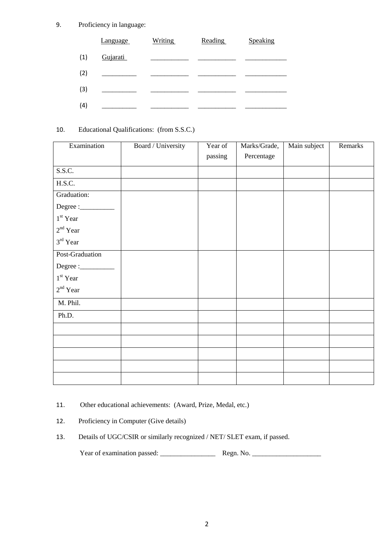9. Proficiency in language:

|     | Language | <b>Writing</b> | <b>Reading</b> | Speaking |
|-----|----------|----------------|----------------|----------|
| (1) | Gujarati |                |                |          |
| (2) |          |                |                |          |
| (3) |          |                |                |          |
| (4) |          |                |                |          |

# 10. Educational Qualifications: (from S.S.C.)

| Examination                                                                                                                                                                                                                                                                                                                                                                                                                                                                                                                                                                | Board / University | Year of | Marks/Grade, | Main subject | Remarks |
|----------------------------------------------------------------------------------------------------------------------------------------------------------------------------------------------------------------------------------------------------------------------------------------------------------------------------------------------------------------------------------------------------------------------------------------------------------------------------------------------------------------------------------------------------------------------------|--------------------|---------|--------------|--------------|---------|
|                                                                                                                                                                                                                                                                                                                                                                                                                                                                                                                                                                            |                    | passing | Percentage   |              |         |
| S.S.C.                                                                                                                                                                                                                                                                                                                                                                                                                                                                                                                                                                     |                    |         |              |              |         |
| H.S.C.                                                                                                                                                                                                                                                                                                                                                                                                                                                                                                                                                                     |                    |         |              |              |         |
|                                                                                                                                                                                                                                                                                                                                                                                                                                                                                                                                                                            |                    |         |              |              |         |
| Graduation:                                                                                                                                                                                                                                                                                                                                                                                                                                                                                                                                                                |                    |         |              |              |         |
| $\begin{minipage}{.4\linewidth} \textbf{Degree}:\textcolor{red}{\textbf{1:}\textbf{2:}}% \begin{minipage}{.4\linewidth} \includegraphics[width=0.3\linewidth]{figures/cross-1} \end{minipage} \vspace{-0.5cm} \begin{minipage}{.4\linewidth} \includegraphics[width=0.3\linewidth]{figures/cross-1} \end{minipage} \vspace{-0.5cm} \begin{minipage}{.4\linewidth} \includegraphics[width=0.3\linewidth]{figures/cross-1} \end{minipage} \vspace{-0.5cm} \begin{minipage}{.4\linewidth} \includegraphics[width=0.3\linewidth]{figures/cross-1} \end{minipage} \vspace{-0.5$ |                    |         |              |              |         |
| $1^{\rm st}$ Year                                                                                                                                                                                                                                                                                                                                                                                                                                                                                                                                                          |                    |         |              |              |         |
| $2nd$ Year                                                                                                                                                                                                                                                                                                                                                                                                                                                                                                                                                                 |                    |         |              |              |         |
| $3^{\rm rd}$ Year                                                                                                                                                                                                                                                                                                                                                                                                                                                                                                                                                          |                    |         |              |              |         |
| Post-Graduation                                                                                                                                                                                                                                                                                                                                                                                                                                                                                                                                                            |                    |         |              |              |         |
| $\text{Degree}:\_$                                                                                                                                                                                                                                                                                                                                                                                                                                                                                                                                                         |                    |         |              |              |         |
| $1st$ Year                                                                                                                                                                                                                                                                                                                                                                                                                                                                                                                                                                 |                    |         |              |              |         |
| $2^{\rm nd}$ Year                                                                                                                                                                                                                                                                                                                                                                                                                                                                                                                                                          |                    |         |              |              |         |
| M. Phil.                                                                                                                                                                                                                                                                                                                                                                                                                                                                                                                                                                   |                    |         |              |              |         |
| Ph.D.                                                                                                                                                                                                                                                                                                                                                                                                                                                                                                                                                                      |                    |         |              |              |         |
|                                                                                                                                                                                                                                                                                                                                                                                                                                                                                                                                                                            |                    |         |              |              |         |
|                                                                                                                                                                                                                                                                                                                                                                                                                                                                                                                                                                            |                    |         |              |              |         |
|                                                                                                                                                                                                                                                                                                                                                                                                                                                                                                                                                                            |                    |         |              |              |         |
|                                                                                                                                                                                                                                                                                                                                                                                                                                                                                                                                                                            |                    |         |              |              |         |
|                                                                                                                                                                                                                                                                                                                                                                                                                                                                                                                                                                            |                    |         |              |              |         |

- 11. Other educational achievements: (Award, Prize, Medal, etc.)
- 12. Proficiency in Computer (Give details)
- 13. Details of UGC/CSIR or similarly recognized / NET/ SLET exam, if passed.

| Year of examination passed:<br>Regn. No. |  |
|------------------------------------------|--|
|------------------------------------------|--|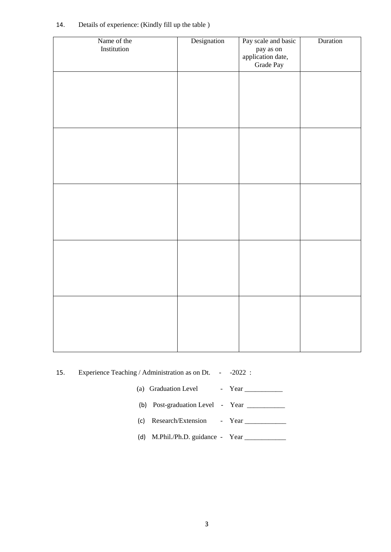| Name of the<br>Institution | Designation | Pay scale and basic<br>pay as on<br>application date,<br>Grade Pay | Duration |
|----------------------------|-------------|--------------------------------------------------------------------|----------|
|                            |             |                                                                    |          |
|                            |             |                                                                    |          |
|                            |             |                                                                    |          |
|                            |             |                                                                    |          |
|                            |             |                                                                    |          |
|                            |             |                                                                    |          |
|                            |             |                                                                    |          |
|                            |             |                                                                    |          |
|                            |             |                                                                    |          |
|                            |             |                                                                    |          |

### 14. Details of experience: (Kindly fill up the table )

15. Experience Teaching / Administration as on Dt. - -2022 :

(a) Graduation Level - Year \_\_\_\_\_\_\_\_\_\_\_

- (b) Post-graduation Level Year \_\_\_\_\_\_\_\_\_\_\_
- (c) Research/Extension Year \_\_\_\_\_\_\_\_\_\_\_\_

(d) M.Phil./Ph.D. guidance - Year \_\_\_\_\_\_\_\_\_\_\_\_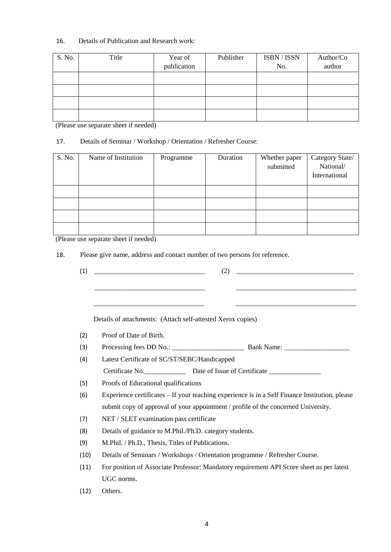## 16. Details of Publication and Research work:

| S. No. | Title | Year of     | Publisher | ISBN / ISSN | Author/Co |
|--------|-------|-------------|-----------|-------------|-----------|
|        |       | publication |           | No.         | author    |
|        |       |             |           |             |           |
|        |       |             |           |             |           |
|        |       |             |           |             |           |
|        |       |             |           |             |           |

(Please use separate sheet if needed)

## 17. Details of Seminar / Workshop / Orientation / Refresher Course:

| S. No. | Name of Institution | Programme | Duration | Whether paper<br>submitted | Category State/<br>National/<br>International |
|--------|---------------------|-----------|----------|----------------------------|-----------------------------------------------|
|        |                     |           |          |                            |                                               |
|        |                     |           |          |                            |                                               |
|        |                     |           |          |                            |                                               |
|        |                     |           |          |                            |                                               |

(Please use separate sheet if needed)

18. Please give name, address and contact number of two persons for reference.

| (1)  |                                                                                                                      | (2)<br><u> 1980 - Johann Barn, mars an t-Amerikaansk politiker (</u>                     |  |  |  |
|------|----------------------------------------------------------------------------------------------------------------------|------------------------------------------------------------------------------------------|--|--|--|
|      | <u> 1980 - Johann Barbara, martxa alemaniar argumento de la contrada de la contrada de la contrada de la contrad</u> |                                                                                          |  |  |  |
|      | Details of attachments: (Attach self-attested Xerox copies)                                                          |                                                                                          |  |  |  |
| (2)  | Proof of Date of Birth.                                                                                              |                                                                                          |  |  |  |
| (3)  |                                                                                                                      |                                                                                          |  |  |  |
| (4)  | Latest Certificate of SC/ST/SEBC/Handicapped                                                                         |                                                                                          |  |  |  |
|      |                                                                                                                      |                                                                                          |  |  |  |
| (5)  | Proofs of Educational qualifications                                                                                 |                                                                                          |  |  |  |
| (6)  | Experience certificates – If your teaching experience is in a Self Finance Institution, please                       |                                                                                          |  |  |  |
|      |                                                                                                                      | submit copy of approval of your appointment / profile of the concerned University.       |  |  |  |
| (7)  | NET / SLET examination pass certificate                                                                              |                                                                                          |  |  |  |
| (8)  | Details of guidance to M.Phil./Ph.D. category students.                                                              |                                                                                          |  |  |  |
| (9)  | M.Phil. / Ph.D., Thesis, Titles of Publications.                                                                     |                                                                                          |  |  |  |
| (10) |                                                                                                                      | Details of Seminars / Workshops / Orientation programme / Refresher Course.              |  |  |  |
| (11) |                                                                                                                      | For position of Associate Professor: Mandatory requirement API Score sheet as per latest |  |  |  |
|      | UGC norms.                                                                                                           |                                                                                          |  |  |  |
| (12) | Others.                                                                                                              |                                                                                          |  |  |  |